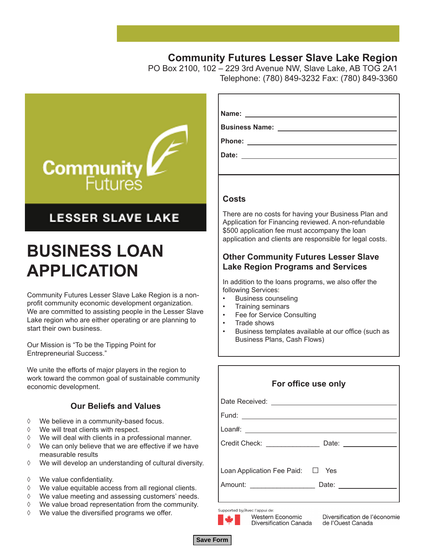### **Community Futures Lesser Slave Lake Region**

PO Box 2100, 102 – 229 3rd Avenue NW, Slave Lake, AB TOG 2A1 Telephone: (780) 849-3232 Fax: (780) 849-3360



### **LESSER SLAVE LAKE**

## **BUSINESS LOAN APPLICATION**

Community Futures Lesser Slave Lake Region is a nonprofit community economic development organization. We are committed to assisting people in the Lesser Slave Lake region who are either operating or are planning to start their own business.

Our Mission is "To be the Tipping Point for Entrepreneurial Success."

We unite the efforts of major players in the region to work toward the common goal of sustainable community economic development.

#### **Our Beliefs and Values**

- ◊ We believe in a community-based focus.
- ◊ We will treat clients with respect.
- ◊ We will deal with clients in a professional manner.
- ◊ We can only believe that we are effective if we have measurable results
- ◊ We will develop an understanding of cultural diversity.
- ◊ We value confidentiality.
- ◊ We value equitable access from all regional clients.
- ◊ We value meeting and assessing customers' needs.
- *Business Loan Application Form*  ◊ We value broad representation from the community.
- ◊ We value the diversified programs we offer.

| Name:<br><u> 1989 - Andrea Station Books, amerikansk politik (d. 1989)</u> |
|----------------------------------------------------------------------------|
| <b>Business Name:</b>                                                      |
| Phone:<br><u> 1980 - Jan James James Barnett, prima politik (</u>          |
| Date:                                                                      |
|                                                                            |

#### **Costs**

There are no costs for having your Business Plan and Application for Financing reviewed. A non-refundable \$500 application fee must accompany the loan application and clients are responsible for legal costs.

#### **Other Community Futures Lesser Slave Lake Region Programs and Services**

In addition to the loans programs, we also offer the following Services:

- Business counseling
- Training seminars
- Fee for Service Consulting
- Trade shows
- Business templates available at our office (such as Business Plans, Cash Flows)

| For office use only                                     |  |  |  |  |
|---------------------------------------------------------|--|--|--|--|
|                                                         |  |  |  |  |
|                                                         |  |  |  |  |
|                                                         |  |  |  |  |
| Credit Check: Date: Date:                               |  |  |  |  |
| Loan Application Fee Paid: □ Yes<br>Amount: Date: Date: |  |  |  |  |
|                                                         |  |  |  |  |

Supported by/Avec l'appui de:

Western Economic

Diversification Canada



Diversification de l'économie de l'Ouest Canada

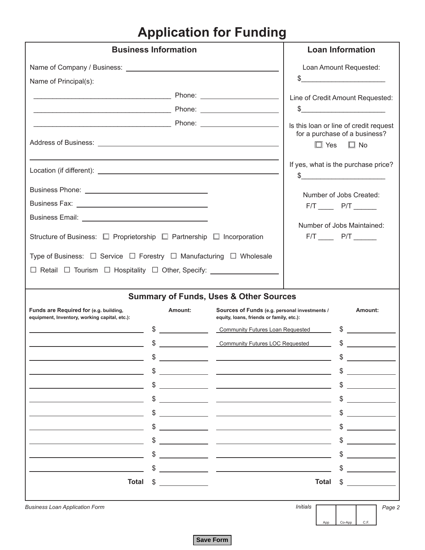### **Application for Funding**

| <b>Business Information</b>                                                                        | <b>Loan Information</b>                                   |                                                                                           |                                                                         |              |        |                                                                               |        |
|----------------------------------------------------------------------------------------------------|-----------------------------------------------------------|-------------------------------------------------------------------------------------------|-------------------------------------------------------------------------|--------------|--------|-------------------------------------------------------------------------------|--------|
|                                                                                                    |                                                           |                                                                                           |                                                                         |              |        | Loan Amount Requested:                                                        |        |
| Name of Principal(s):                                                                              |                                                           |                                                                                           |                                                                         |              |        |                                                                               |        |
|                                                                                                    |                                                           |                                                                                           | Line of Credit Amount Requested:                                        |              |        |                                                                               |        |
|                                                                                                    |                                                           |                                                                                           | $\circ$                                                                 |              |        |                                                                               |        |
|                                                                                                    |                                                           |                                                                                           | Is this loan or line of credit request<br>for a purchase of a business? | $\Box$ Yes   |        | $\Box$ No                                                                     |        |
|                                                                                                    |                                                           |                                                                                           | If yes, what is the purchase price?                                     |              |        |                                                                               |        |
|                                                                                                    |                                                           |                                                                                           |                                                                         |              |        | Number of Jobs Created:                                                       |        |
|                                                                                                    |                                                           |                                                                                           |                                                                         |              |        | $F/T$ $P/T$ $27$                                                              |        |
|                                                                                                    |                                                           |                                                                                           |                                                                         |              |        |                                                                               |        |
| Structure of Business: $\Box$ Proprietorship $\Box$ Partnership $\Box$ Incorporation               |                                                           |                                                                                           |                                                                         |              |        | Number of Jobs Maintained:<br>$F/T$ $\longrightarrow$ $P/T$ $\longrightarrow$ |        |
| Type of Business: $\square$ Service $\square$ Forestry $\square$ Manufacturing $\square$ Wholesale |                                                           |                                                                                           |                                                                         |              |        |                                                                               |        |
|                                                                                                    |                                                           |                                                                                           |                                                                         |              |        |                                                                               |        |
|                                                                                                    |                                                           |                                                                                           |                                                                         |              |        |                                                                               |        |
|                                                                                                    |                                                           | <b>Summary of Funds, Uses &amp; Other Sources</b>                                         |                                                                         |              |        |                                                                               |        |
| Funds are Required for (e.g. building,<br>equipment, Inventory, working capital, etc.):            | Amount:                                                   | Sources of Funds (e.g. personal investments /<br>equity, loans, friends or family, etc.): |                                                                         |              |        | Amount:                                                                       |        |
|                                                                                                    | $\begin{array}{c} \updownarrow \\ \downarrow \end{array}$ |                                                                                           |                                                                         |              |        |                                                                               |        |
|                                                                                                    | $\frac{1}{2}$                                             | Community Futures LOC Requested                                                           |                                                                         |              | $\sim$ |                                                                               |        |
|                                                                                                    |                                                           |                                                                                           |                                                                         |              |        |                                                                               |        |
|                                                                                                    |                                                           |                                                                                           |                                                                         |              |        |                                                                               |        |
|                                                                                                    |                                                           |                                                                                           |                                                                         |              |        |                                                                               |        |
|                                                                                                    |                                                           |                                                                                           |                                                                         |              |        |                                                                               |        |
|                                                                                                    |                                                           |                                                                                           |                                                                         |              |        |                                                                               |        |
|                                                                                                    |                                                           |                                                                                           |                                                                         |              |        |                                                                               |        |
|                                                                                                    |                                                           |                                                                                           |                                                                         |              |        |                                                                               |        |
|                                                                                                    |                                                           |                                                                                           |                                                                         |              |        |                                                                               |        |
|                                                                                                    |                                                           |                                                                                           |                                                                         |              |        |                                                                               |        |
| <b>Total</b>                                                                                       |                                                           |                                                                                           |                                                                         | <b>Total</b> |        |                                                                               |        |
| <b>Business Loan Application Form</b>                                                              |                                                           |                                                                                           | Initials                                                                |              |        |                                                                               | Page 2 |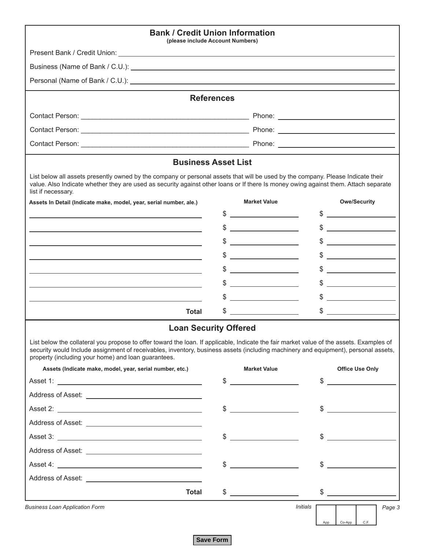| <b>Bank / Credit Union Information</b><br>(please include Account Numbers)                                                                                                                                                                                                                                                            |                   |                                                       |                                                                                                                                                                                                                                                                                                                     |
|---------------------------------------------------------------------------------------------------------------------------------------------------------------------------------------------------------------------------------------------------------------------------------------------------------------------------------------|-------------------|-------------------------------------------------------|---------------------------------------------------------------------------------------------------------------------------------------------------------------------------------------------------------------------------------------------------------------------------------------------------------------------|
|                                                                                                                                                                                                                                                                                                                                       |                   |                                                       |                                                                                                                                                                                                                                                                                                                     |
| Business (Name of Bank / C.U.): example and the set of Bank / C.U.):                                                                                                                                                                                                                                                                  |                   |                                                       |                                                                                                                                                                                                                                                                                                                     |
|                                                                                                                                                                                                                                                                                                                                       |                   |                                                       |                                                                                                                                                                                                                                                                                                                     |
|                                                                                                                                                                                                                                                                                                                                       | <b>References</b> |                                                       |                                                                                                                                                                                                                                                                                                                     |
|                                                                                                                                                                                                                                                                                                                                       |                   |                                                       |                                                                                                                                                                                                                                                                                                                     |
|                                                                                                                                                                                                                                                                                                                                       |                   |                                                       |                                                                                                                                                                                                                                                                                                                     |
|                                                                                                                                                                                                                                                                                                                                       |                   |                                                       |                                                                                                                                                                                                                                                                                                                     |
| <b>Business Asset List</b>                                                                                                                                                                                                                                                                                                            |                   |                                                       |                                                                                                                                                                                                                                                                                                                     |
| List below all assets presently owned by the company or personal assets that will be used by the company. Please Indicate their<br>value. Also Indicate whether they are used as security against other loans or If there Is money owing against them. Attach separate<br>list if necessary.                                          |                   |                                                       |                                                                                                                                                                                                                                                                                                                     |
| Assets In Detail (Indicate make, model, year, serial number, ale.)                                                                                                                                                                                                                                                                    |                   | <b>Market Value</b>                                   | <b>Owe/Security</b>                                                                                                                                                                                                                                                                                                 |
|                                                                                                                                                                                                                                                                                                                                       | \$                |                                                       |                                                                                                                                                                                                                                                                                                                     |
|                                                                                                                                                                                                                                                                                                                                       | \$                | <u> 1989 - Jan Salaman III, masa ka</u>               | <u> 1990 - Jan Barat, prima po</u>                                                                                                                                                                                                                                                                                  |
|                                                                                                                                                                                                                                                                                                                                       |                   | <u> 1980 - Jan Alexandria (</u>                       | <u> 1989 - Jan Barbara III, martxa</u>                                                                                                                                                                                                                                                                              |
|                                                                                                                                                                                                                                                                                                                                       | \$                |                                                       |                                                                                                                                                                                                                                                                                                                     |
|                                                                                                                                                                                                                                                                                                                                       |                   | <u> 1980 - Jan Barat, prima politik (</u>             | <u> 1990 - Jan Barnett, politik e</u>                                                                                                                                                                                                                                                                               |
|                                                                                                                                                                                                                                                                                                                                       |                   | <u> 1980 - Jan Barbara Barbara, maso a</u>            | <u> 1980 - Jan Stein Stein Stein Stein Stein Stein Stein Stein Stein Stein Stein Stein Stein Stein Stein Stein S</u>                                                                                                                                                                                                |
|                                                                                                                                                                                                                                                                                                                                       |                   |                                                       | <u> 1989 - Johann John Stone, mars et al. 1990 - 1990 - 1990 - 1990 - 1990 - 1990 - 1990 - 1990 - 1990 - 1990 - 1</u>                                                                                                                                                                                               |
| <b>Total</b>                                                                                                                                                                                                                                                                                                                          | \$                |                                                       |                                                                                                                                                                                                                                                                                                                     |
| <b>Loan Security Offered</b>                                                                                                                                                                                                                                                                                                          |                   |                                                       |                                                                                                                                                                                                                                                                                                                     |
| List below the collateral you propose to offer toward the loan. If applicable, Indicate the fair market value of the assets. Examples of<br>security would Include assignment of receivables, inventory, business assets (including machinery and equipment), personal assets,<br>property (including your home) and loan guarantees. |                   |                                                       |                                                                                                                                                                                                                                                                                                                     |
| Assets (Indicate make, model, year, serial number, etc.)                                                                                                                                                                                                                                                                              |                   | <b>Market Value</b>                                   | <b>Office Use Only</b>                                                                                                                                                                                                                                                                                              |
|                                                                                                                                                                                                                                                                                                                                       | \$                | <u> 1999 - John Stone, mars et al. (</u>              | \$                                                                                                                                                                                                                                                                                                                  |
|                                                                                                                                                                                                                                                                                                                                       |                   |                                                       |                                                                                                                                                                                                                                                                                                                     |
|                                                                                                                                                                                                                                                                                                                                       | \$                | <u> 1990 - Jan Alexandro III, politik politik (</u>   | $\frac{1}{2}$                                                                                                                                                                                                                                                                                                       |
|                                                                                                                                                                                                                                                                                                                                       |                   |                                                       |                                                                                                                                                                                                                                                                                                                     |
|                                                                                                                                                                                                                                                                                                                                       | $\$\$             | <u> 1989 - Jan Barbara Barbara, politik politik (</u> |                                                                                                                                                                                                                                                                                                                     |
|                                                                                                                                                                                                                                                                                                                                       |                   |                                                       |                                                                                                                                                                                                                                                                                                                     |
|                                                                                                                                                                                                                                                                                                                                       | \$                | <u> 1990 - Jan Barbara Barat, prima politik (</u>     |                                                                                                                                                                                                                                                                                                                     |
|                                                                                                                                                                                                                                                                                                                                       |                   |                                                       |                                                                                                                                                                                                                                                                                                                     |
| <b>Total</b>                                                                                                                                                                                                                                                                                                                          |                   | $\frac{1}{2}$                                         | $\frac{1}{2}$ $\frac{1}{2}$ $\frac{1}{2}$ $\frac{1}{2}$ $\frac{1}{2}$ $\frac{1}{2}$ $\frac{1}{2}$ $\frac{1}{2}$ $\frac{1}{2}$ $\frac{1}{2}$ $\frac{1}{2}$ $\frac{1}{2}$ $\frac{1}{2}$ $\frac{1}{2}$ $\frac{1}{2}$ $\frac{1}{2}$ $\frac{1}{2}$ $\frac{1}{2}$ $\frac{1}{2}$ $\frac{1}{2}$ $\frac{1}{2}$ $\frac{1}{2}$ |
| <b>Business Loan Application Form</b>                                                                                                                                                                                                                                                                                                 |                   | Initials                                              | Page 3<br>C.F.<br>Co-App<br>App                                                                                                                                                                                                                                                                                     |

**Save Form**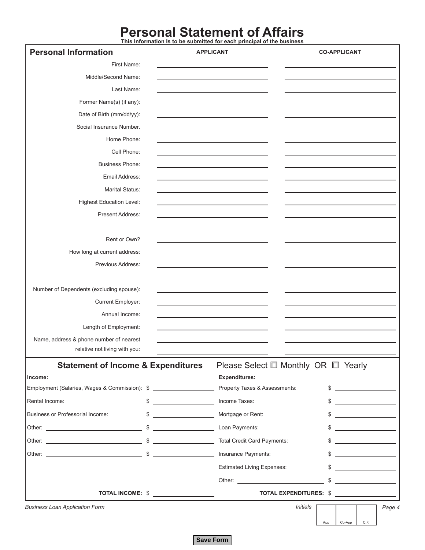# **Personal Statement of Affairs This Information Is to be submitted for each principal of the business**

| <b>Personal Information</b>                   |                  | <b>APPLICANT</b>                                                                                                                                                                                                               | <b>CO-APPLICANT</b>                                                                                                                                                                                                                                                                                                 |  |  |  |
|-----------------------------------------------|------------------|--------------------------------------------------------------------------------------------------------------------------------------------------------------------------------------------------------------------------------|---------------------------------------------------------------------------------------------------------------------------------------------------------------------------------------------------------------------------------------------------------------------------------------------------------------------|--|--|--|
| First Name:                                   |                  |                                                                                                                                                                                                                                |                                                                                                                                                                                                                                                                                                                     |  |  |  |
| Middle/Second Name:                           |                  |                                                                                                                                                                                                                                |                                                                                                                                                                                                                                                                                                                     |  |  |  |
| Last Name:                                    |                  |                                                                                                                                                                                                                                |                                                                                                                                                                                                                                                                                                                     |  |  |  |
| Former Name(s) (if any):                      |                  |                                                                                                                                                                                                                                |                                                                                                                                                                                                                                                                                                                     |  |  |  |
| Date of Birth (mm/dd/yy):                     |                  |                                                                                                                                                                                                                                |                                                                                                                                                                                                                                                                                                                     |  |  |  |
| Social Insurance Number.                      |                  |                                                                                                                                                                                                                                |                                                                                                                                                                                                                                                                                                                     |  |  |  |
| Home Phone:                                   |                  |                                                                                                                                                                                                                                |                                                                                                                                                                                                                                                                                                                     |  |  |  |
| Cell Phone:                                   |                  |                                                                                                                                                                                                                                |                                                                                                                                                                                                                                                                                                                     |  |  |  |
| <b>Business Phone:</b>                        |                  |                                                                                                                                                                                                                                |                                                                                                                                                                                                                                                                                                                     |  |  |  |
| Email Address:                                |                  |                                                                                                                                                                                                                                |                                                                                                                                                                                                                                                                                                                     |  |  |  |
| <b>Marital Status:</b>                        |                  |                                                                                                                                                                                                                                |                                                                                                                                                                                                                                                                                                                     |  |  |  |
| <b>Highest Education Level:</b>               |                  |                                                                                                                                                                                                                                |                                                                                                                                                                                                                                                                                                                     |  |  |  |
| Present Address:                              |                  |                                                                                                                                                                                                                                |                                                                                                                                                                                                                                                                                                                     |  |  |  |
|                                               |                  |                                                                                                                                                                                                                                |                                                                                                                                                                                                                                                                                                                     |  |  |  |
| Rent or Own?                                  |                  |                                                                                                                                                                                                                                |                                                                                                                                                                                                                                                                                                                     |  |  |  |
| How long at current address:                  |                  |                                                                                                                                                                                                                                |                                                                                                                                                                                                                                                                                                                     |  |  |  |
| Previous Address:                             |                  |                                                                                                                                                                                                                                |                                                                                                                                                                                                                                                                                                                     |  |  |  |
|                                               |                  |                                                                                                                                                                                                                                |                                                                                                                                                                                                                                                                                                                     |  |  |  |
| Number of Dependents (excluding spouse):      |                  |                                                                                                                                                                                                                                |                                                                                                                                                                                                                                                                                                                     |  |  |  |
| Current Employer:                             |                  |                                                                                                                                                                                                                                |                                                                                                                                                                                                                                                                                                                     |  |  |  |
| Annual Income:                                |                  |                                                                                                                                                                                                                                |                                                                                                                                                                                                                                                                                                                     |  |  |  |
| Length of Employment:                         |                  |                                                                                                                                                                                                                                |                                                                                                                                                                                                                                                                                                                     |  |  |  |
| Name, address & phone number of nearest       |                  |                                                                                                                                                                                                                                |                                                                                                                                                                                                                                                                                                                     |  |  |  |
| relative not living with you:                 |                  |                                                                                                                                                                                                                                |                                                                                                                                                                                                                                                                                                                     |  |  |  |
| <b>Statement of Income &amp; Expenditures</b> |                  | Please Select $\square$ Monthly OR $\square$ Yearly                                                                                                                                                                            |                                                                                                                                                                                                                                                                                                                     |  |  |  |
| Income:                                       |                  | <b>Expenditures:</b>                                                                                                                                                                                                           |                                                                                                                                                                                                                                                                                                                     |  |  |  |
| Employment (Salaries, Wages & Commission): \$ |                  | Property Taxes & Assessments:                                                                                                                                                                                                  | $\frac{1}{2}$                                                                                                                                                                                                                                                                                                       |  |  |  |
| Rental Income:                                | $\frac{1}{2}$    | Income Taxes:                                                                                                                                                                                                                  | $\frac{1}{2}$                                                                                                                                                                                                                                                                                                       |  |  |  |
| Business or Professorial Income:              | $\frac{1}{2}$    | Mortgage or Rent:                                                                                                                                                                                                              |                                                                                                                                                                                                                                                                                                                     |  |  |  |
|                                               |                  | Loan Payments:                                                                                                                                                                                                                 | $\frac{1}{2}$ $\frac{1}{2}$ $\frac{1}{2}$ $\frac{1}{2}$ $\frac{1}{2}$ $\frac{1}{2}$ $\frac{1}{2}$ $\frac{1}{2}$ $\frac{1}{2}$ $\frac{1}{2}$ $\frac{1}{2}$ $\frac{1}{2}$ $\frac{1}{2}$ $\frac{1}{2}$ $\frac{1}{2}$ $\frac{1}{2}$ $\frac{1}{2}$ $\frac{1}{2}$ $\frac{1}{2}$ $\frac{1}{2}$ $\frac{1}{2}$ $\frac{1}{2}$ |  |  |  |
|                                               |                  | Total Credit Card Payments:                                                                                                                                                                                                    | <u> 1989 - Andrea State</u>                                                                                                                                                                                                                                                                                         |  |  |  |
|                                               |                  | Insurance Payments:                                                                                                                                                                                                            | \$                                                                                                                                                                                                                                                                                                                  |  |  |  |
|                                               |                  | <b>Estimated Living Expenses:</b>                                                                                                                                                                                              | \$<br><u> 1990 - Jan Jawa Barat, prima prima prima prima prima prima prima prima prima prima prima prima prima prima p</u>                                                                                                                                                                                          |  |  |  |
|                                               |                  | Other: the contract of the contract of the contract of the contract of the contract of the contract of the contract of the contract of the contract of the contract of the contract of the contract of the contract of the con | $\sim$                                                                                                                                                                                                                                                                                                              |  |  |  |
|                                               | TOTAL INCOME: \$ |                                                                                                                                                                                                                                | TOTAL EXPENDITURES: \$                                                                                                                                                                                                                                                                                              |  |  |  |
| <b>Business Loan Application Form</b>         |                  | Initials                                                                                                                                                                                                                       | Page 4                                                                                                                                                                                                                                                                                                              |  |  |  |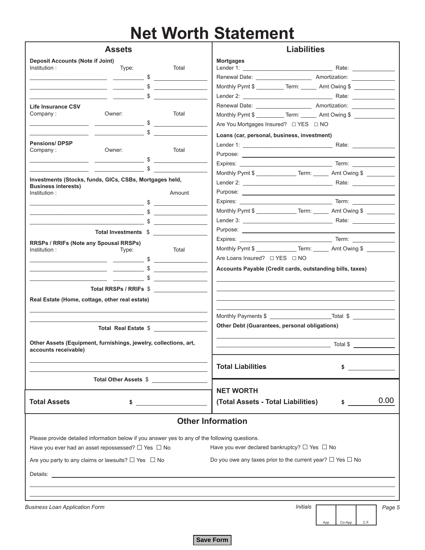## **Net Worth Statement**

| <b>Assets</b>                                                                                  |                                                                                                                                                                      |                      | <b>Liabilities</b>                                                                 |  |  |  |  |
|------------------------------------------------------------------------------------------------|----------------------------------------------------------------------------------------------------------------------------------------------------------------------|----------------------|------------------------------------------------------------------------------------|--|--|--|--|
| <b>Deposit Accounts (Note if Joint)</b><br>Institution:                                        | Type:<br>$\overbrace{\hspace{2.5cm}}^{\text{}}$ $\overbrace{\hspace{2.5cm}}^{\text{}}$ $\overbrace{\hspace{2.5cm}}^{\text{}}$ $\overbrace{\hspace{2.5cm}}^{\text{}}$ | Total                | <b>Mortgages</b>                                                                   |  |  |  |  |
|                                                                                                | \$                                                                                                                                                                   |                      | Monthly Pymt \$ __________ Term: _______ Amt Owing \$                              |  |  |  |  |
|                                                                                                |                                                                                                                                                                      | $\frac{1}{2}$        |                                                                                    |  |  |  |  |
| <b>Life Insurance CSV</b>                                                                      |                                                                                                                                                                      |                      |                                                                                    |  |  |  |  |
| Company:                                                                                       | Owner:                                                                                                                                                               | Total                | Monthly Pymt \$ ____________Term: ________ Amt Owing \$                            |  |  |  |  |
|                                                                                                | $\sim$ \$                                                                                                                                                            |                      |                                                                                    |  |  |  |  |
|                                                                                                | \$                                                                                                                                                                   |                      | Loans (car, personal, business, investment)                                        |  |  |  |  |
| <b>Pensions/DPSP</b>                                                                           |                                                                                                                                                                      |                      |                                                                                    |  |  |  |  |
| Company:                                                                                       | Owner:                                                                                                                                                               | Total                |                                                                                    |  |  |  |  |
|                                                                                                |                                                                                                                                                                      | $\frac{1}{2}$        |                                                                                    |  |  |  |  |
|                                                                                                |                                                                                                                                                                      | $\mathbb{S}$         | Monthly Pymt \$ __________________Term: _______ Amt Owing \$ _________             |  |  |  |  |
| Investments (Stocks, funds, GICs, CSBs, Mortgages held,                                        |                                                                                                                                                                      |                      |                                                                                    |  |  |  |  |
| <b>Business interests)</b><br>Institution:                                                     |                                                                                                                                                                      | Amount               |                                                                                    |  |  |  |  |
|                                                                                                | $\mathfrak{S}$                                                                                                                                                       |                      |                                                                                    |  |  |  |  |
|                                                                                                |                                                                                                                                                                      |                      | Monthly Pymt \$ __________________Term: ________ Amt Owing \$ ____________________ |  |  |  |  |
|                                                                                                | $\overline{\phantom{a}}$ \$                                                                                                                                          | $\frac{1}{2}$        |                                                                                    |  |  |  |  |
|                                                                                                |                                                                                                                                                                      |                      |                                                                                    |  |  |  |  |
|                                                                                                | Total Investments \$                                                                                                                                                 |                      |                                                                                    |  |  |  |  |
| RRSPs / RRIFs (Note any Spousal RRSPs)<br>Institution:                                         | Type:                                                                                                                                                                | Total                | Monthly Pymt \$ _________________Term: ________ Amt Owing \$                       |  |  |  |  |
|                                                                                                | $\overbrace{\hspace{2.5cm}}^{\text{5}}$                                                                                                                              |                      | Are Loans Insured? $\Box$ YES $\Box$ NO                                            |  |  |  |  |
|                                                                                                |                                                                                                                                                                      | $\frac{1}{2}$        | Accounts Payable (Credit cards, outstanding bills, taxes)                          |  |  |  |  |
|                                                                                                |                                                                                                                                                                      | $\frac{1}{\sqrt{2}}$ |                                                                                    |  |  |  |  |
|                                                                                                |                                                                                                                                                                      |                      |                                                                                    |  |  |  |  |
|                                                                                                | Total RRSPs / RRIFs \$                                                                                                                                               |                      |                                                                                    |  |  |  |  |
| Real Estate (Home, cottage, other real estate)                                                 |                                                                                                                                                                      |                      |                                                                                    |  |  |  |  |
|                                                                                                |                                                                                                                                                                      |                      |                                                                                    |  |  |  |  |
|                                                                                                |                                                                                                                                                                      |                      | Other Debt (Guarantees, personal obligations)                                      |  |  |  |  |
|                                                                                                | Total Real Estate \$                                                                                                                                                 |                      |                                                                                    |  |  |  |  |
| Other Assets (Equipment, furnishings, jewelry, collections, art,<br>accounts receivable)       |                                                                                                                                                                      |                      | Total \$                                                                           |  |  |  |  |
|                                                                                                |                                                                                                                                                                      |                      | <b>Total Liabilities</b><br>\$                                                     |  |  |  |  |
|                                                                                                | Total Other Assets \$                                                                                                                                                |                      | <b>NET WORTH</b>                                                                   |  |  |  |  |
| <b>Total Assets</b>                                                                            | \$                                                                                                                                                                   |                      | 0.00<br>(Total Assets - Total Liabilities)<br>$\sim$                               |  |  |  |  |
|                                                                                                |                                                                                                                                                                      |                      | <b>Other Information</b>                                                           |  |  |  |  |
|                                                                                                |                                                                                                                                                                      |                      |                                                                                    |  |  |  |  |
| Please provide detailed information below if you answer yes to any of the following questions. |                                                                                                                                                                      |                      |                                                                                    |  |  |  |  |
| Have you ever had an asset repossessed? $\Box$ Yes $\Box$ No                                   |                                                                                                                                                                      |                      | Have you ever declared bankruptcy? $\Box$ Yes $\Box$ No                            |  |  |  |  |
| Are you party to any claims or lawsuits? $\Box$ Yes $\Box$ No                                  |                                                                                                                                                                      |                      | Do you owe any taxes prior to the current year? $\Box$ Yes $\Box$ No               |  |  |  |  |
|                                                                                                |                                                                                                                                                                      |                      |                                                                                    |  |  |  |  |
|                                                                                                |                                                                                                                                                                      |                      |                                                                                    |  |  |  |  |
|                                                                                                |                                                                                                                                                                      |                      |                                                                                    |  |  |  |  |
| <b>Business Loan Application Form</b>                                                          |                                                                                                                                                                      |                      | Initials<br>Page 5                                                                 |  |  |  |  |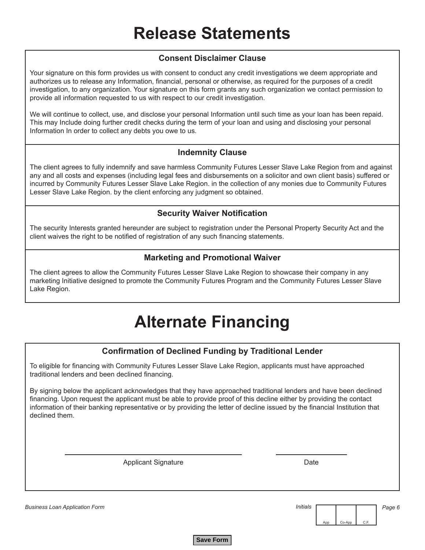#### **Consent Disclaimer Clause**

Your signature on this form provides us with consent to conduct any credit investigations we deem appropriate and authorizes us to release any Information, financial, personal or otherwise, as required for the purposes of a credit investigation, to any organization. Your signature on this form grants any such organization we contact permission to provide all information requested to us with respect to our credit investigation.

We will continue to collect, use, and disclose your personal Information until such time as your loan has been repaid. This may Include doing further credit checks during the term of your loan and using and disclosing your personal Information In order to collect any debts you owe to us.

#### **Indemnity Clause**

The client agrees to fully indemnify and save harmless Community Futures Lesser Slave Lake Region from and against any and all costs and expenses (including legal fees and disbursements on a solicitor and own client basis) suffered or incurred by Community Futures Lesser Slave Lake Region. in the collection of any monies due to Community Futures Lesser Slave Lake Region. by the client enforcing any judgment so obtained.

#### **Security Waiver Notification**

The security Interests granted hereunder are subject to registration under the Personal Property Security Act and the client waives the right to be notified of registration of any such financing statements.

#### **Marketing and Promotional Waiver**

The client agrees to allow the Community Futures Lesser Slave Lake Region to showcase their company in any marketing Initiative designed to promote the Community Futures Program and the Community Futures Lesser Slave Lake Region.

## **Alternate Financing**

#### **Confirmation of Declined Funding by Traditional Lender**

To eligible for financing with Community Futures Lesser Slave Lake Region, applicants must have approached traditional lenders and been declined financing.

By signing below the applicant acknowledges that they have approached traditional lenders and have been declined financing. Upon request the applicant must be able to provide proof of this decline either by providing the contact information of their banking representative or by providing the letter of decline issued by the financial Institution that declined them.

Applicant Signature **Date** Date

*Business Loan Application Form* 



*Initials Page 6*